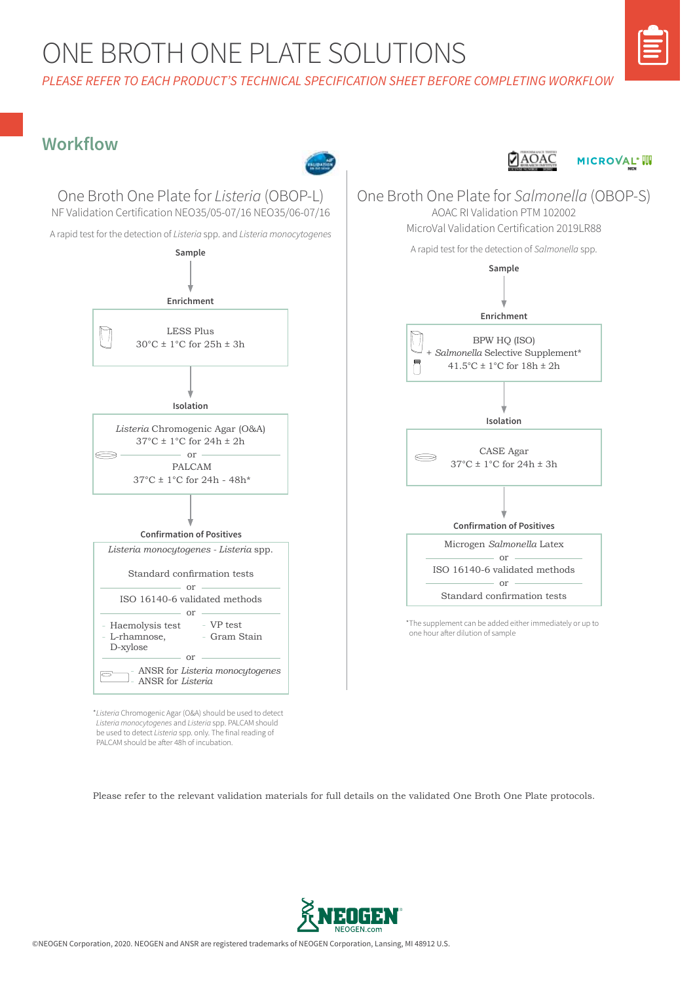## ONE BROTH ONE PLATE SOLUTIONS

*PLEASE REFER TO EACH PRODUCT'S TECHNICAL SPECIFICATION SHEET BEFORE COMPLETING WORKFLOW*

### **Workflow**



\**Listeria* Chromogenic Agar (O&A) should be used to detect *Listeria monocytogenes* and *Listeria* spp. PALCAM should be used to detect *Listeria* spp. only. The final reading of PALCAM should be after 48h of incubation.

Please refer to the relevant validation materials for full details on the validated One Broth One Plate protocols.